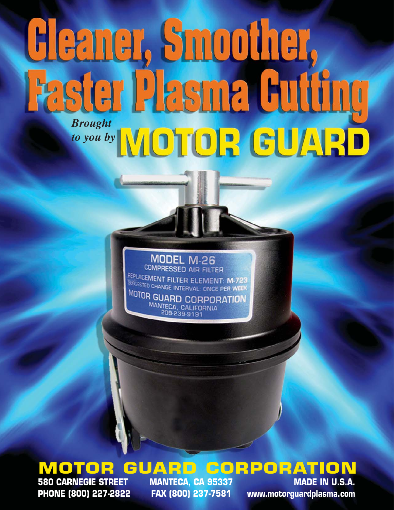# Cleaner, Smoother, Faster Plasma Gutting *Brought to you by*

MODEL M-26 COMPRESSED AIR FILTER REPLACEMENT FILTER ELEMENT: M-723 SUGGESTED CHANGE INTERVAL: DNCE PER WEEK MOTOR GUARD CORPORATION MANTECA, CALIFORNIA

## **MOTOR GUARD CORPORATION**<br>580 CARNEGIE STREET MANTECA. CA 95337 MADE IN U.S.A.

**MANTECA, CA 95337** 

**PHONE (800) 227-2822 FAX (800) 237-7581 www.motorguardplasma.com**